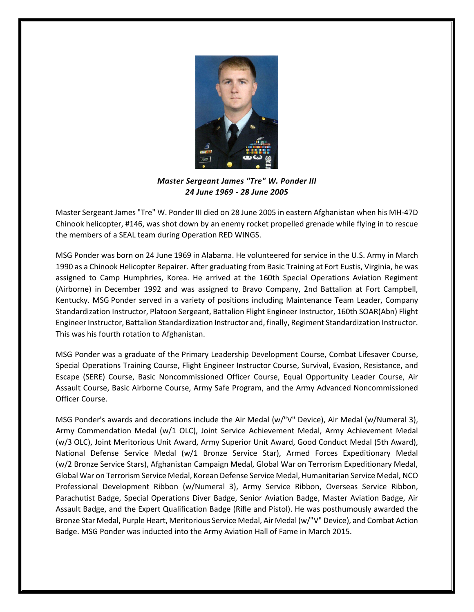

*Master Sergeant James "Tre" W. Ponder III 24 June 1969 - 28 June 2005*

Master Sergeant James "Tre" W. Ponder III died on 28 June 2005 in eastern Afghanistan when his MH-47D Chinook helicopter, #146, was shot down by an enemy rocket propelled grenade while flying in to rescue the members of a SEAL team during Operation RED WINGS.

MSG Ponder was born on 24 June 1969 in Alabama. He volunteered for service in the U.S. Army in March 1990 as a Chinook Helicopter Repairer. After graduating from Basic Training at Fort Eustis, Virginia, he was assigned to Camp Humphries, Korea. He arrived at the 160th Special Operations Aviation Regiment (Airborne) in December 1992 and was assigned to Bravo Company, 2nd Battalion at Fort Campbell, Kentucky. MSG Ponder served in a variety of positions including Maintenance Team Leader, Company Standardization Instructor, Platoon Sergeant, Battalion Flight Engineer Instructor, 160th SOAR(Abn) Flight Engineer Instructor, Battalion Standardization Instructor and, finally, Regiment Standardization Instructor. This was his fourth rotation to Afghanistan.

MSG Ponder was a graduate of the Primary Leadership Development Course, Combat Lifesaver Course, Special Operations Training Course, Flight Engineer Instructor Course, Survival, Evasion, Resistance, and Escape (SERE) Course, Basic Noncommissioned Officer Course, Equal Opportunity Leader Course, Air Assault Course, Basic Airborne Course, Army Safe Program, and the Army Advanced Noncommissioned Officer Course.

MSG Ponder's awards and decorations include the Air Medal (w/"V" Device), Air Medal (w/Numeral 3), Army Commendation Medal (w/1 OLC), Joint Service Achievement Medal, Army Achievement Medal (w/3 OLC), Joint Meritorious Unit Award, Army Superior Unit Award, Good Conduct Medal (5th Award), National Defense Service Medal (w/1 Bronze Service Star), Armed Forces Expeditionary Medal (w/2 Bronze Service Stars), Afghanistan Campaign Medal, Global War on Terrorism Expeditionary Medal, Global War on Terrorism Service Medal, Korean Defense Service Medal, Humanitarian Service Medal, NCO Professional Development Ribbon (w/Numeral 3), Army Service Ribbon, Overseas Service Ribbon, Parachutist Badge, Special Operations Diver Badge, Senior Aviation Badge, Master Aviation Badge, Air Assault Badge, and the Expert Qualification Badge (Rifle and Pistol). He was posthumously awarded the Bronze Star Medal, Purple Heart, Meritorious Service Medal, Air Medal (w/"V" Device), and Combat Action Badge. MSG Ponder was inducted into the Army Aviation Hall of Fame in March 2015.